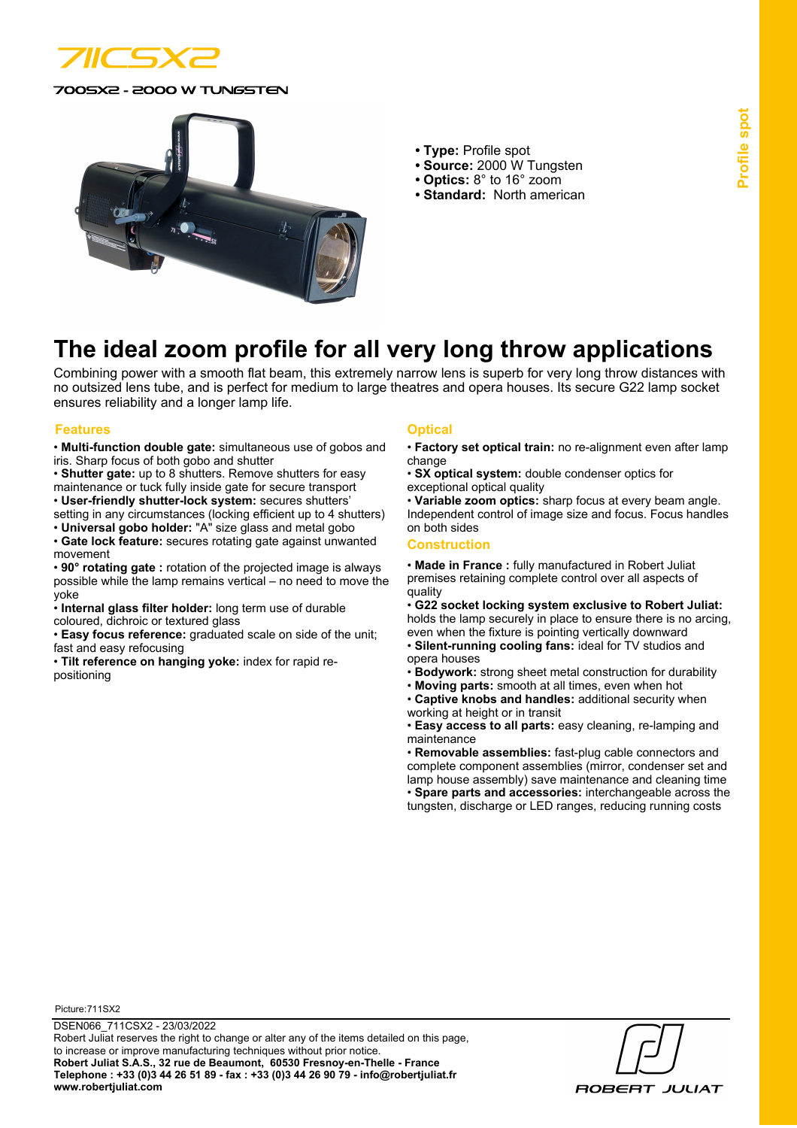

0SX2 - 2000 W TUNGSTEN



- **Type:** Profile spot
- **Source:** 2000 W Tungsten
- **Optics:** 8° to 16° zoom
- **Standard:** North american

# **The ideal zoom profile for all very long throw applications**

Combining power with a smooth flat beam, this extremely narrow lens is superb for very long throw distances with no outsized lens tube, and is perfect for medium to large theatres and opera houses. Its secure G22 lamp socket ensures reliability and a longer lamp life.

#### **Features Optical**

- **Multi-function double gate:** simultaneous use of gobos and iris. Sharp focus of both gobo and shutter
- **Shutter gate:** up to 8 shutters. Remove shutters for easy
- maintenance or tuck fully inside gate for secure transport • **User-friendly shutter-lock system:** secures shutters'
- setting in any circumstances (locking efficient up to 4 shutters)
- **Universal gobo holder:** "A" size glass and metal gobo
- **Gate lock feature:** secures rotating gate against unwanted movement
- **90° rotating gate :** rotation of the projected image is always possible while the lamp remains vertical – no need to move the yoke
- **Internal glass filter holder:** long term use of durable
- coloured, dichroic or textured glass
- **Easy focus reference:** graduated scale on side of the unit; fast and easy refocusing
- **Tilt reference on hanging yoke:** index for rapid repositioning

- **Factory set optical train:** no re-alignment even after lamp change
- **SX optical system:** double condenser optics for exceptional optical quality

• **Variable zoom optics:** sharp focus at every beam angle. Independent control of image size and focus. Focus handles on both sides

### **Construction**

• **Made in France :** fully manufactured in Robert Juliat premises retaining complete control over all aspects of quality

• **G22 socket locking system exclusive to Robert Juliat:** holds the lamp securely in place to ensure there is no arcing, even when the fixture is pointing vertically downward

- **Silent-running cooling fans:** ideal for TV studios and opera houses
- **Bodywork:** strong sheet metal construction for durability
- **Moving parts:** smooth at all times, even when hot
- **Captive knobs and handles:** additional security when working at height or in transit

• **Easy access to all parts:** easy cleaning, re-lamping and maintenance

• **Removable assemblies:** fast-plug cable connectors and complete component assemblies (mirror, condenser set and lamp house assembly) save maintenance and cleaning time • **Spare parts and accessories:** interchangeable across the tungsten, discharge or LED ranges, reducing running costs

Picture:711SX2

**ROBERT JULIAT**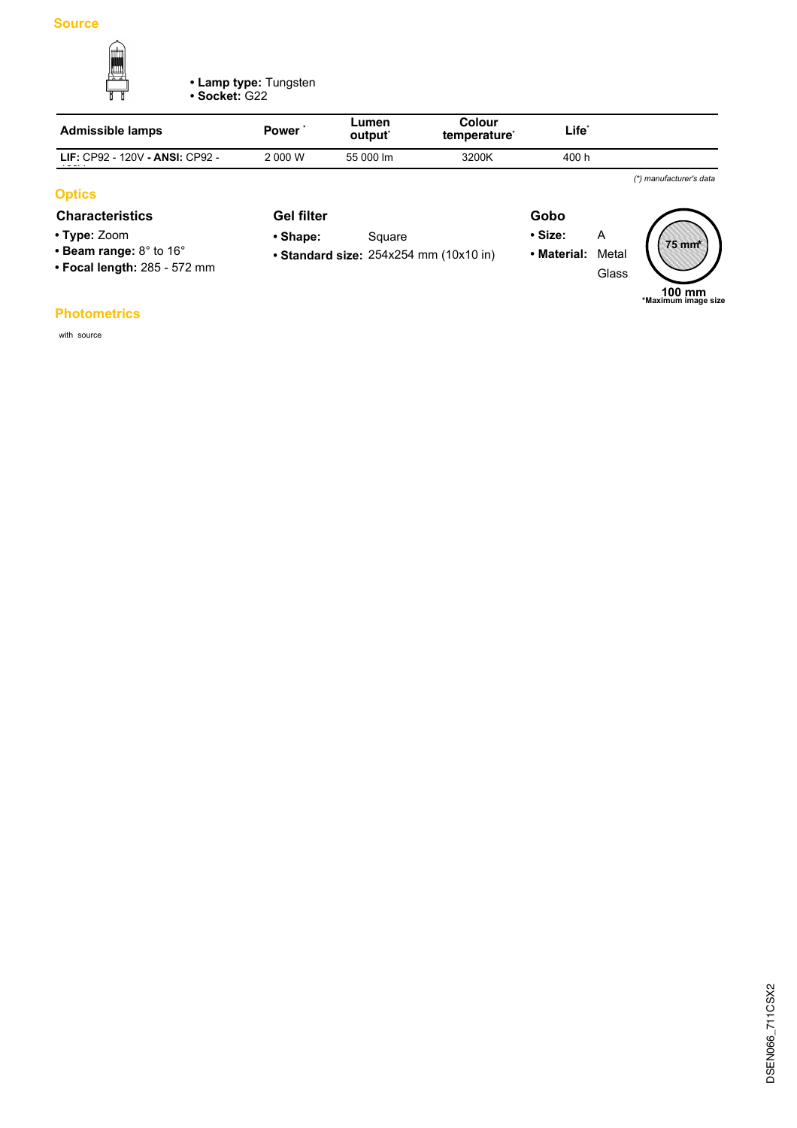

**• Lamp type:** Tungsten **• Socket:** G22

| <b>Admissible lamps</b>                | Power'  | Lumen<br>output <sup>*</sup> | Colour<br>temperature <sup>*</sup> | Life <sup>*</sup> |  |
|----------------------------------------|---------|------------------------------|------------------------------------|-------------------|--|
| <b>LIF: CP92 - 120V - ANSI: CP92 -</b> | 2 000 W | 55 000 lm                    | 3200K                              | 400 h             |  |
|                                        |         |                              |                                    |                   |  |

# **Optics**

# **Characteristics Gel filter Gobo**

- **Type:** Zoom
- **Beam range:** 8° to 16°
- **Focal length:** 285 572 mm
- **Standard size:** 254x254 mm (10x10 in) • Shape: Square

**Gel filter**

- **Size:** A
- **Material:** Metal
- Glass



*(\*) manufacturer's data*

## **Photometrics**

with source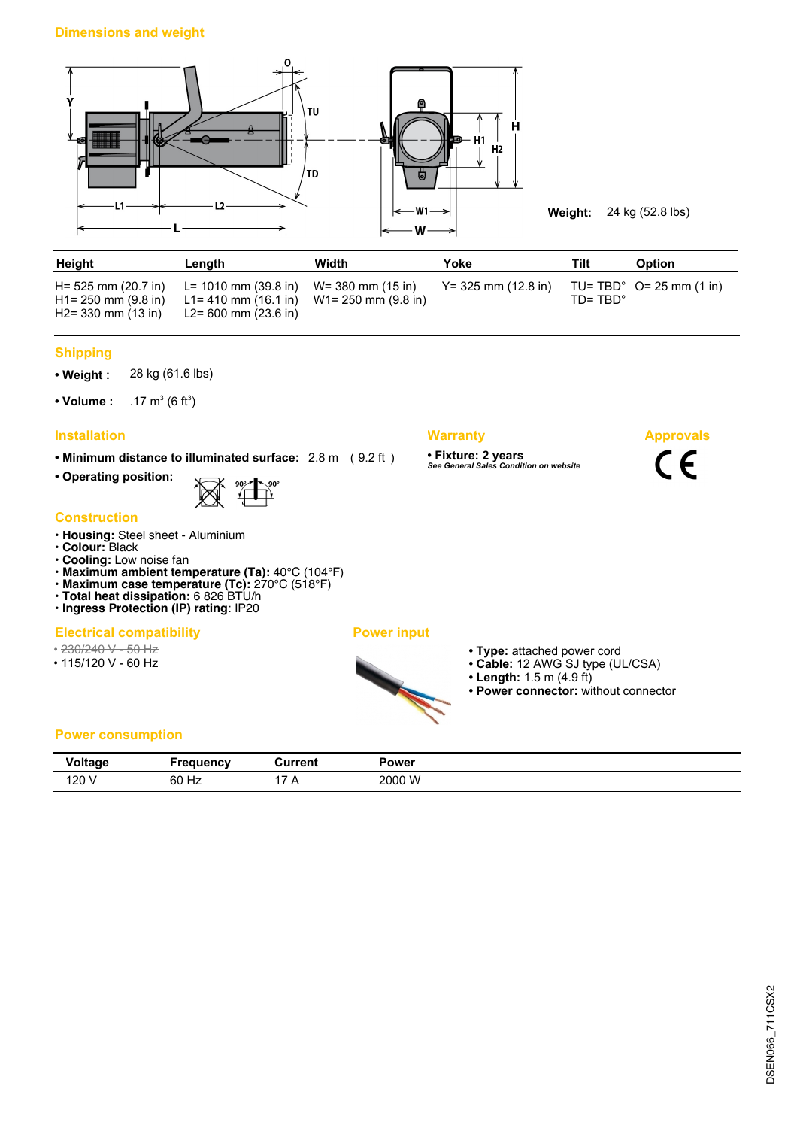

**Weight:** 24 kg (52.8 lbs)

**Approvals**

 $C \in$ 

| Height                                                              | Length                                                                                                     | Width | Yoke                   | Tilt               | <b>Option</b>                      |
|---------------------------------------------------------------------|------------------------------------------------------------------------------------------------------------|-------|------------------------|--------------------|------------------------------------|
| H= 525 mm (20.7 in)<br>$H1 = 250$ mm (9.8 in)<br>H2= 330 mm (13 in) | L= 1010 mm (39.8 in) W= 380 mm (15 in)<br>L1= 410 mm (16.1 in) W1= 250 mm (9.8 in)<br>L2= 600 mm (23.6 in) |       | $Y = 325$ mm (12.8 in) | $ID = TRD^{\circ}$ | TU= TBD $^{\circ}$ O= 25 mm (1 in) |

### **Shipping**

**• Weight :** 28 kg (61.6 lbs)

• Volume :  $(6 ft^3)$ 

# **Installation Warranty**

**• Minimum distance to illuminated surface:** 2.8 m ( 9.2 ft )

**• Operating position:**



### **Construction**

- **Housing:** Steel sheet Aluminium
- **Colour:** Black
- **Cooling:** Low noise fan
- **Maximum ambient temperature (Ta):** 40°C (104°F)
- **Maximum case temperature (Tc):** 270°C (518°F)
- **Total heat dissipation:** 6 826 BTU/h **• Ingress Protection (IP) rating**: IP20
- **Electrical compatibility Power input**

# • 230/240 V - 50 Hz

- 
- 115/120 V 60 Hz

- 
- **Type:** attached power cord
- **Cable:** 12 AWG SJ type (UL/CSA)
- **Length:** 1.5 m (4.9 ft)

**• Fixture: 2 years** *See General Sales Condition on website*

**• Power connector:** without connector

# **Power consumption**

| <b>Stalland</b><br>v vı uuy | - 800110<br>۵nc۷ | วurrent | Power  |
|-----------------------------|------------------|---------|--------|
| 120 <sub>1</sub>            | 60 Hz            |         | 2000 W |